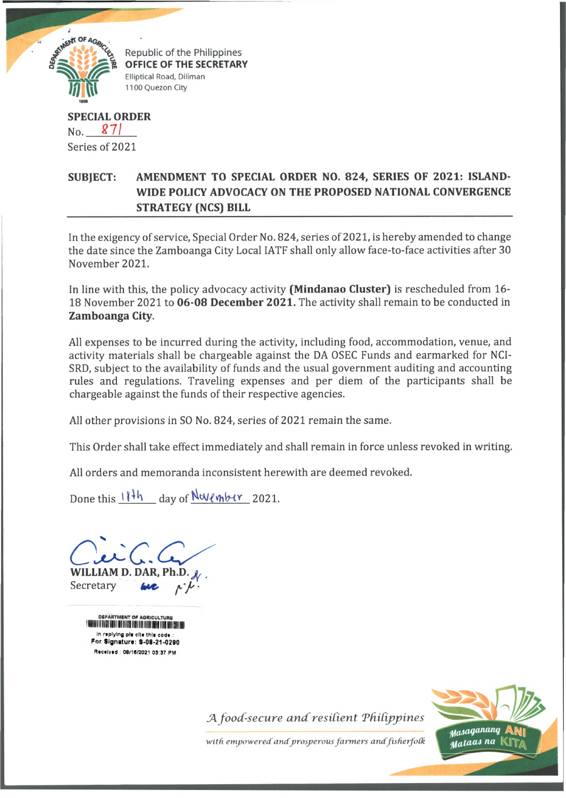

Republic of the Philippines **OFFICE OF THE SECRETARY** Elliptical Road, Diliman 1100 Quezon City

**SPECIAL ORDER** No. *271* Series of 2021

## **SUBJECT: AMENDMENT TO SPECIAL ORDER NO. 824, SERIES OF 2021: ISLAND-WIDE POLICY ADVOCACY ON THE PROPOSED NATIONAL CONVERGENCE STRATEGY (NCS) BILL**

In the exigency of service, Special Order No. 824, series of 2021, is hereby amended to change the date since the Zamboanga City Local IATF shall only allow face-to-face activities after 30 November 2021.

In line with this, the policy advocacy activity (Mindanao Cluster) is rescheduled from 16-18 November 2021 to 06-08 December 2021. The activity shall remain to be conducted in **Zamboanga City.**

All expenses to be incurred during the activity, including food, accommodation, venue, and activity materials shall be chargeable against the DA OSEC Funds and earmarked for NCI-SRD, subject to the availability of funds and the usual government auditing and accounting rules and regulations. Traveling expenses and per diem of the participants shall be chargeable against the funds of their respective agencies.

All other provisions in SO No. 824, series of 2021 remain the same.

This Order shall take effect immediately and shall remain in force unless revoked in writing.

All orders and memoranda inconsistent herewith are deemed revoked.

Done this  $11\frac{th}{h}$  day of November 2021.

**WILLIAM D. DAR, Ph.D .^, ,** Secretary *tput, ^* -

DEPARTMENT OF mi'll hi f in f in the fill of it is in the fill in the fill of the fill of the control of the control of the c in replying pla cite this code For Signature: S-08-21-0290 Received : 08/16/2021 03:37 PM

**J4** *food-secure and resident Tfiidppines*



with empowered and prosperous farmers and fisherfolk